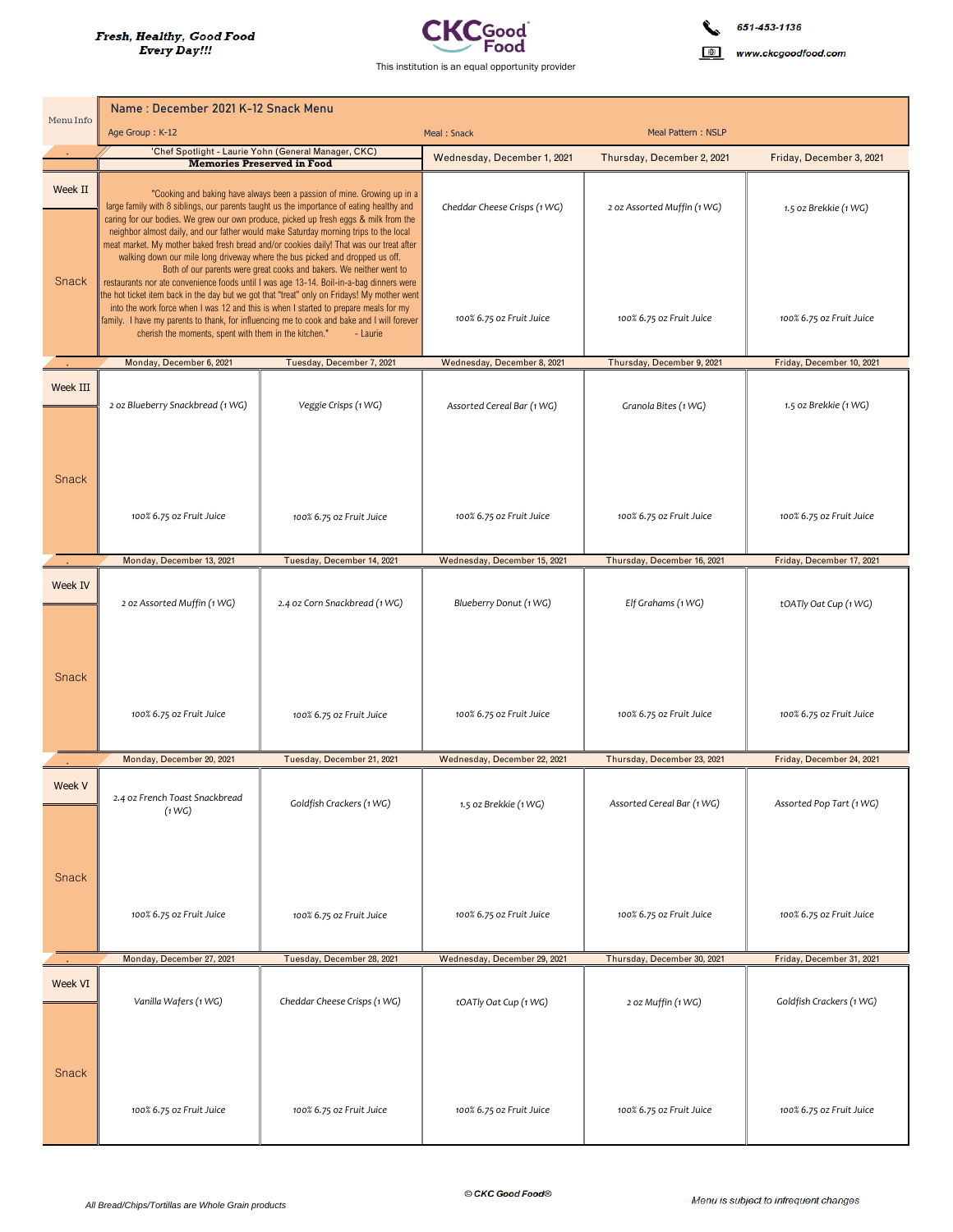

www.ckcgoodfood.com

| Menu Info | Name: December 2021 K-12 Snack Menu                                                                                                                                                                                                                                                                                                                                                                                                                                                                                                                                                                   |                               |                                   |                             |                           |  |
|-----------|-------------------------------------------------------------------------------------------------------------------------------------------------------------------------------------------------------------------------------------------------------------------------------------------------------------------------------------------------------------------------------------------------------------------------------------------------------------------------------------------------------------------------------------------------------------------------------------------------------|-------------------------------|-----------------------------------|-----------------------------|---------------------------|--|
|           | Age Group: K-12                                                                                                                                                                                                                                                                                                                                                                                                                                                                                                                                                                                       |                               | Meal: Snack<br>Meal Pattern: NSLP |                             |                           |  |
|           | 'Chef Spotlight - Laurie Yohn (General Manager, CKC)<br><b>Memories Preserved in Food</b>                                                                                                                                                                                                                                                                                                                                                                                                                                                                                                             |                               | Wednesday, December 1, 2021       | Thursday, December 2, 2021  | Friday, December 3, 2021  |  |
| Week II   | "Cooking and baking have always been a passion of mine. Growing up in a<br>large family with 8 siblings, our parents taught us the importance of eating healthy and<br>caring for our bodies. We grew our own produce, picked up fresh eggs & milk from the<br>neighbor almost daily, and our father would make Saturday morning trips to the local<br>meat market. My mother baked fresh bread and/or cookies daily! That was our treat after<br>walking down our mile long driveway where the bus picked and dropped us off.<br>Both of our parents were great cooks and bakers. We neither went to |                               | Cheddar Cheese Crisps (1 WG)      | 2 oz Assorted Muffin (1 WG) | 1.5 oz Brekkie (1 WG)     |  |
| Snack     | restaurants nor ate convenience foods until I was age 13-14. Boil-in-a-bag dinners were<br>the hot ticket item back in the day but we got that "treat" only on Fridays! My mother went<br>into the work force when I was 12 and this is when I started to prepare meals for my<br>family. I have my parents to thank, for influencing me to cook and bake and I will forever<br>cherish the moments, spent with them in the kitchen."<br>- Laurie                                                                                                                                                     |                               | 100% 6.75 oz Fruit Juice          | 100% 6.75 oz Fruit Juice    | 100% 6.75 oz Fruit Juice  |  |
|           | Monday, December 6, 2021                                                                                                                                                                                                                                                                                                                                                                                                                                                                                                                                                                              | Tuesday, December 7, 2021     | Wednesday, December 8, 2021       | Thursday, December 9, 2021  | Friday, December 10, 2021 |  |
| Week III  | 2 oz Blueberry Snackbread (1 WG)                                                                                                                                                                                                                                                                                                                                                                                                                                                                                                                                                                      | Veggie Crisps (1 WG)          | Assorted Cereal Bar (1 WG)        | Granola Bites (1 WG)        | 1.5 oz Brekkie (1 WG)     |  |
| Snack     |                                                                                                                                                                                                                                                                                                                                                                                                                                                                                                                                                                                                       |                               |                                   |                             |                           |  |
|           | 100% 6.75 oz Fruit Juice                                                                                                                                                                                                                                                                                                                                                                                                                                                                                                                                                                              | 100% 6.75 oz Fruit Juice      | 100% 6.75 oz Fruit Juice          | 100% 6.75 oz Fruit Juice    | 100% 6.75 oz Fruit Juice  |  |
|           | Monday, December 13, 2021                                                                                                                                                                                                                                                                                                                                                                                                                                                                                                                                                                             | Tuesday, December 14, 2021    | Wednesday, December 15, 2021      | Thursday, December 16, 2021 | Friday, December 17, 2021 |  |
| Week IV   | 2 oz Assorted Muffin (1 WG)                                                                                                                                                                                                                                                                                                                                                                                                                                                                                                                                                                           | 2.4 oz Corn Snackbread (1 WG) | Blueberry Donut (1 WG)            | Elf Grahams (1 WG)          | tOATly Oat Cup (1 WG)     |  |
| Snack     | 100% 6.75 oz Fruit Juice                                                                                                                                                                                                                                                                                                                                                                                                                                                                                                                                                                              | 100% 6.75 oz Fruit Juice      | 100% 6.75 oz Fruit Juice          | 100% 6.75 oz Fruit Juice    | 100% 6.75 oz Fruit Juice  |  |
|           | Monday, December 20, 2021                                                                                                                                                                                                                                                                                                                                                                                                                                                                                                                                                                             | Tuesday, December 21, 2021    | Wednesday, December 22, 2021      | Thursday, December 23, 2021 | Friday, December 24, 2021 |  |
| Week V    | 2.4 oz French Toast Snackbread<br>(1 W G)                                                                                                                                                                                                                                                                                                                                                                                                                                                                                                                                                             | Goldfish Crackers (1 WG)      | 1.5 oz Brekkie (1 WG)             | Assorted Cereal Bar (1 WG)  | Assorted Pop Tart (1 WG)  |  |
| Snack     | 100% 6.75 oz Fruit Juice                                                                                                                                                                                                                                                                                                                                                                                                                                                                                                                                                                              | 100% 6.75 oz Fruit Juice      | 100% 6.75 oz Fruit Juice          | 100% 6.75 oz Fruit Juice    | 100% 6.75 oz Fruit Juice  |  |
|           | Monday, December 27, 2021                                                                                                                                                                                                                                                                                                                                                                                                                                                                                                                                                                             | Tuesday, December 28, 2021    | Wednesday, December 29, 2021      | Thursday, December 30, 2021 | Friday, December 31, 2021 |  |
| Week VI   | Vanilla Wafers (1 WG)                                                                                                                                                                                                                                                                                                                                                                                                                                                                                                                                                                                 | Cheddar Cheese Crisps (1 WG)  | tOATly Oat Cup (1 WG)             | 2 oz Muffin (1 WG)          | Goldfish Crackers (1 WG)  |  |
| Snack     | 100% 6.75 oz Fruit Juice                                                                                                                                                                                                                                                                                                                                                                                                                                                                                                                                                                              | 100% 6.75 oz Fruit Juice      | 100% 6.75 oz Fruit Juice          | 100% 6.75 oz Fruit Juice    | 100% 6.75 oz Fruit Juice  |  |